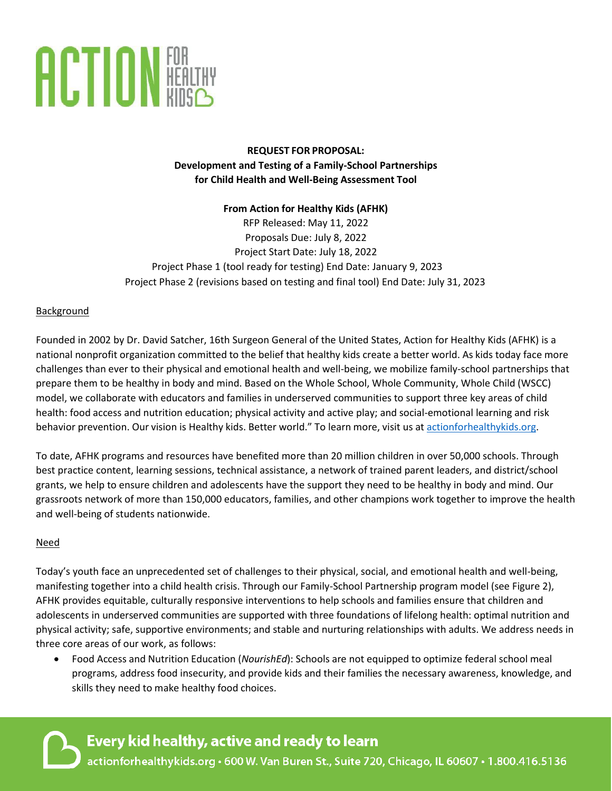

**REQUEST FOR PROPOSAL: Development and Testing of a Family-School Partnerships for Child Health and Well-Being Assessment Tool**

# **From Action for Healthy Kids (AFHK)** RFP Released: May 11, 2022 Proposals Due: July 8, 2022 Project Start Date: July 18, 2022 Project Phase 1 (tool ready for testing) End Date: January 9, 2023 Project Phase 2 (revisions based on testing and final tool) End Date: July 31, 2023

### **Background**

Founded in 2002 by Dr. David Satcher, 16th Surgeon General of the United States, Action for Healthy Kids (AFHK) is a national nonprofit organization committed to the belief that healthy kids create a better world. As kids today face more challenges than ever to their physical and emotional health and well-being, we mobilize family-school partnerships that prepare them to be healthy in body and mind. Based on the Whole School, Whole Community, Whole Child (WSCC) model, we collaborate with educators and families in underserved communities to support three key areas of child health: food access and nutrition education; physical activity and active play; and social-emotional learning and risk behavior prevention. Our vision is Healthy kids. Better world." To learn more, visit us at [actionforhealthykids.org.](http://actionforhealthykids.org/)

To date, AFHK programs and resources have benefited more than 20 million children in over 50,000 schools. Through best practice content, learning sessions, technical assistance, a network of trained parent leaders, and district/school grants, we help to ensure children and adolescents have the support they need to be healthy in body and mind. Our grassroots network of more than 150,000 educators, families, and other champions work together to improve the health and well-being of students nationwide.

### Need

Today's youth face an unprecedented set of challenges to their physical, social, and emotional health and well-being, manifesting together into a child health crisis. Through our Family-School Partnership program model (see Figure 2), AFHK provides equitable, culturally responsive interventions to help schools and families ensure that children and adolescents in underserved communities are supported with three foundations of lifelong health: optimal nutrition and physical activity; safe, supportive environments; and stable and nurturing relationships with adults. We address needs in three core areas of our work, as follows:

• Food Access and Nutrition Education (*NourishEd*): Schools are not equipped to optimize federal school meal programs, address food insecurity, and provide kids and their families the necessary awareness, knowledge, and skills they need to make healthy food choices.

# Every kid healthy, active and ready to learn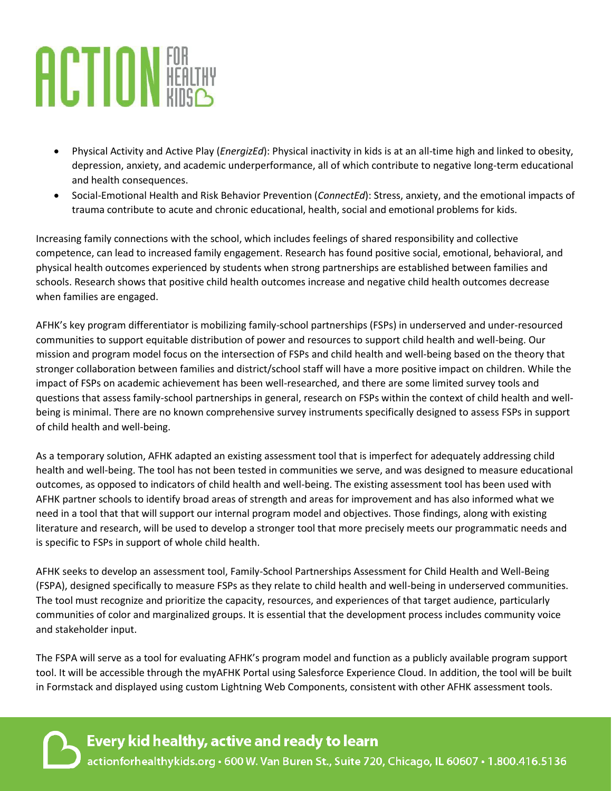# **ACTION HEALTHY**

- Physical Activity and Active Play (*EnergizEd*): Physical inactivity in kids is at an all-time high and linked to obesity, depression, anxiety, and academic underperformance, all of which contribute to negative long-term educational and health consequences.
- Social-Emotional Health and Risk Behavior Prevention (*ConnectEd*): Stress, anxiety, and the emotional impacts of trauma contribute to acute and chronic educational, health, social and emotional problems for kids.

Increasing family connections with the school, which includes feelings of shared responsibility and collective competence, can lead to increased family engagement. Research has found positive social, emotional, behavioral, and physical health outcomes experienced by students when strong partnerships are established between families and schools. Research shows that positive child health outcomes increase and negative child health outcomes decrease when families are engaged.

AFHK's key program differentiator is mobilizing family-school partnerships (FSPs) in underserved and under-resourced communities to support equitable distribution of power and resources to support child health and well-being. Our mission and program model focus on the intersection of FSPs and child health and well-being based on the theory that stronger collaboration between families and district/school staff will have a more positive impact on children. While the impact of FSPs on academic achievement has been well-researched, and there are some limited survey tools and questions that assess family-school partnerships in general, research on FSPs within the context of child health and wellbeing is minimal. There are no known comprehensive survey instruments specifically designed to assess FSPs in support of child health and well-being.

As a temporary solution, AFHK adapted an existing assessment tool that is imperfect for adequately addressing child health and well-being. The tool has not been tested in communities we serve, and was designed to measure educational outcomes, as opposed to indicators of child health and well-being. The existing assessment tool has been used with AFHK partner schools to identify broad areas of strength and areas for improvement and has also informed what we need in a tool that that will support our internal program model and objectives. Those findings, along with existing literature and research, will be used to develop a stronger tool that more precisely meets our programmatic needs and is specific to FSPs in support of whole child health.

AFHK seeks to develop an assessment tool, Family-School Partnerships Assessment for Child Health and Well-Being (FSPA), designed specifically to measure FSPs as they relate to child health and well-being in underserved communities. The tool must recognize and prioritize the capacity, resources, and experiences of that target audience, particularly communities of color and marginalized groups. It is essential that the development process includes community voice and stakeholder input.

The FSPA will serve as a tool for evaluating AFHK's program model and function as a publicly available program support tool. It will be accessible through the myAFHK Portal using Salesforce Experience Cloud. In addition, the tool will be built in Formstack and displayed using custom Lightning Web Components, consistent with other AFHK assessment tools.

Every kid healthy, active and ready to learn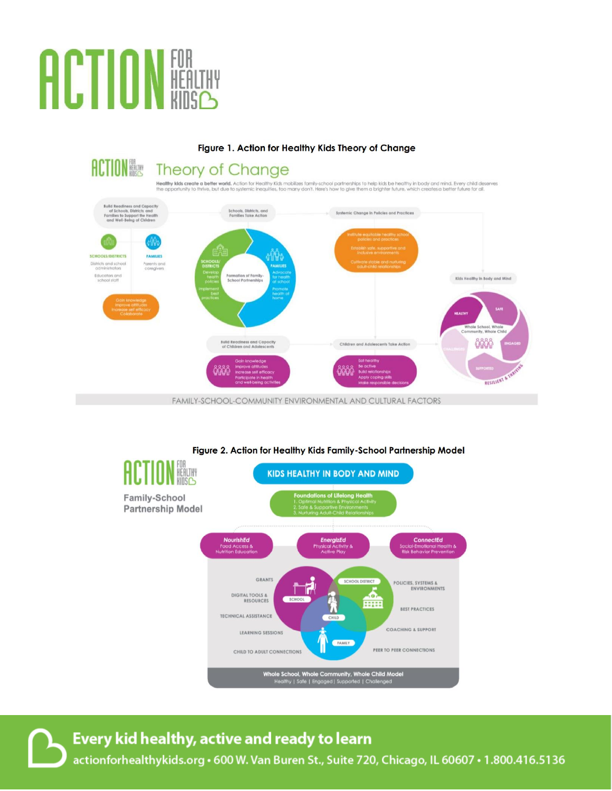# **ACTION FOR**

Figure 1. Action for Healthy Kids Theory of Change **ACTION FOR** Theory of Change .<br>Healthy kids create a better world, Action for Healthy Kids mobilizes family-school partnerships to help kids be healthy in body and mind. Every child deserves<br>The opportunity to thrive, but due to systemic inequities, h Build Readiness and Capacity<br>of Schools, Districts, and<br>families to Support the Health<br>and Well-Being of Children Schools, Districts, and<br>Families Take Action Systemic Change in Policies and Practices Kids Healthy in Body and Mind **Build Readiness and Capacity**<br>of Children and Adolescents **Onon** Children and Adolescents Take Action RESILIER

FAMILY-SCHOOL-COMMUNITY ENVIRONMENTAL AND CULTURAL FACTORS



### Figure 2. Action for Healthy Kids Family-School Partnership Model

Every kid healthy, active and ready to learn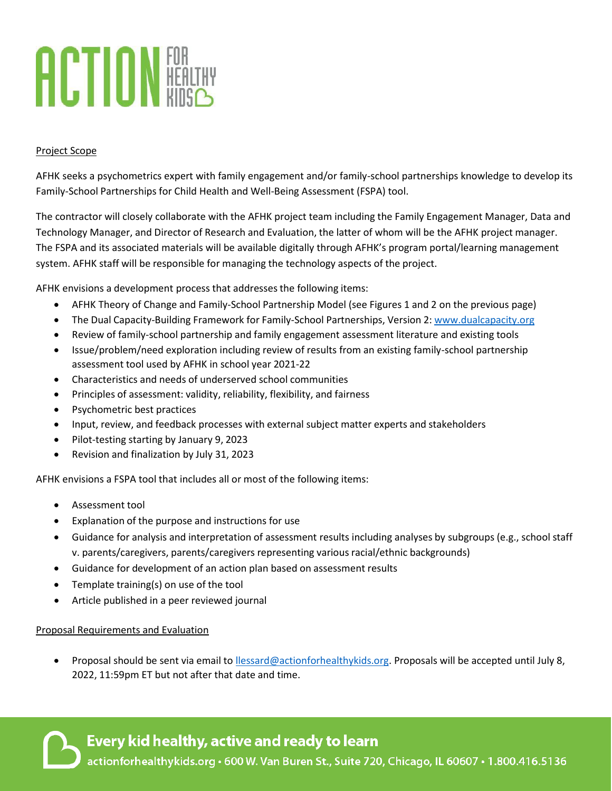# **ACTION HEALTHY**

## Project Scope

AFHK seeks a psychometrics expert with family engagement and/or family-school partnerships knowledge to develop its Family-School Partnerships for Child Health and Well-Being Assessment (FSPA) tool.

The contractor will closely collaborate with the AFHK project team including the Family Engagement Manager, Data and Technology Manager, and Director of Research and Evaluation, the latter of whom will be the AFHK project manager. The FSPA and its associated materials will be available digitally through AFHK's program portal/learning management system. AFHK staff will be responsible for managing the technology aspects of the project.

AFHK envisions a development process that addresses the following items:

- AFHK Theory of Change and Family-School Partnership Model (see Figures 1 and 2 on the previous page)
- The Dual Capacity-Building Framework for Family-School Partnerships, Version 2: [www.dualcapacity.org](http://www.dualcapacity.org/)
- Review of family-school partnership and family engagement assessment literature and existing tools
- Issue/problem/need exploration including review of results from an existing family-school partnership assessment tool used by AFHK in school year 2021-22
- Characteristics and needs of underserved school communities
- Principles of assessment: validity, reliability, flexibility, and fairness
- Psychometric best practices
- Input, review, and feedback processes with external subject matter experts and stakeholders
- Pilot-testing starting by January 9, 2023
- Revision and finalization by July 31, 2023

AFHK envisions a FSPA tool that includes all or most of the following items:

- Assessment tool
- Explanation of the purpose and instructions for use
- Guidance for analysis and interpretation of assessment results including analyses by subgroups (e.g., school staff v. parents/caregivers, parents/caregivers representing various racial/ethnic backgrounds)
- Guidance for development of an action plan based on assessment results
- Template training(s) on use of the tool
- Article published in a peer reviewed journal

### Proposal Requirements and Evaluation

• Proposal should be sent via email to [llessard@actionforhealthykids.org.](mailto:llessard@actionforhealthykids.org) Proposals will be accepted until July 8, 2022, 11:59pm ET but not after that date and time.

Every kid healthy, active and ready to learn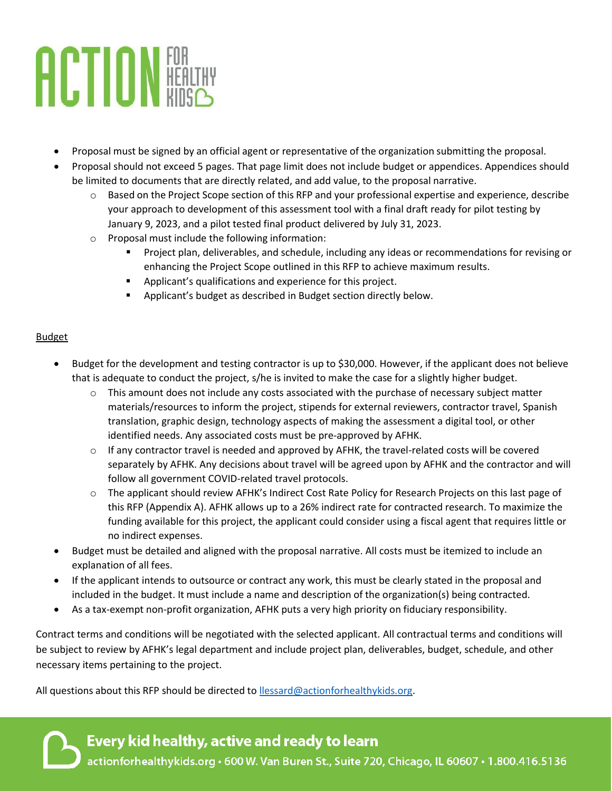# **ACTION HEALTHY**

- Proposal must be signed by an official agent or representative of the organization submitting the proposal.
- Proposal should not exceed 5 pages. That page limit does not include budget or appendices. Appendices should be limited to documents that are directly related, and add value, to the proposal narrative.
	- o Based on the Project Scope section of this RFP and your professional expertise and experience, describe your approach to development of this assessment tool with a final draft ready for pilot testing by January 9, 2023, and a pilot tested final product delivered by July 31, 2023.
	- o Proposal must include the following information:
		- Project plan, deliverables, and schedule, including any ideas or recommendations for revising or enhancing the Project Scope outlined in this RFP to achieve maximum results.
		- Applicant's qualifications and experience for this project.
		- Applicant's budget as described in Budget section directly below.

# Budget

- Budget for the development and testing contractor is up to \$30,000. However, if the applicant does not believe that is adequate to conduct the project, s/he is invited to make the case for a slightly higher budget.
	- $\circ$  This amount does not include any costs associated with the purchase of necessary subject matter materials/resources to inform the project, stipends for external reviewers, contractor travel, Spanish translation, graphic design, technology aspects of making the assessment a digital tool, or other identified needs. Any associated costs must be pre-approved by AFHK.
	- $\circ$  If any contractor travel is needed and approved by AFHK, the travel-related costs will be covered separately by AFHK. Any decisions about travel will be agreed upon by AFHK and the contractor and will follow all government COVID-related travel protocols.
	- o The applicant should review AFHK's Indirect Cost Rate Policy for Research Projects on this last page of this RFP (Appendix A). AFHK allows up to a 26% indirect rate for contracted research. To maximize the funding available for this project, the applicant could consider using a fiscal agent that requires little or no indirect expenses.
- Budget must be detailed and aligned with the proposal narrative. All costs must be itemized to include an explanation of all fees.
- If the applicant intends to outsource or contract any work, this must be clearly stated in the proposal and included in the budget. It must include a name and description of the organization(s) being contracted.
- As a tax-exempt non-profit organization, AFHK puts a very high priority on fiduciary responsibility.

Contract terms and conditions will be negotiated with the selected applicant. All contractual terms and conditions will be subject to review by AFHK's legal department and include project plan, deliverables, budget, schedule, and other necessary items pertaining to the project.

All questions about this RFP should be directed to [llessard@actionforhealthykids.org.](mailto:llessard@actionforhealthykids.org)